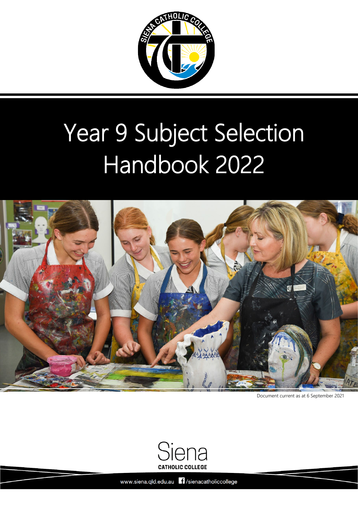

# Year 9 Subject Selection Handbook 2022



Document current as at 6 September 2021



Siena Catholic College [Back to Table of Contents](#page-1-0) 0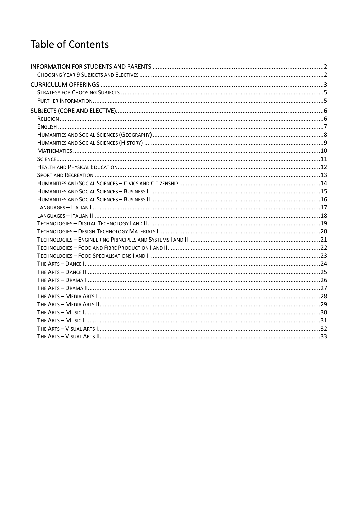### <span id="page-1-0"></span>Table of Contents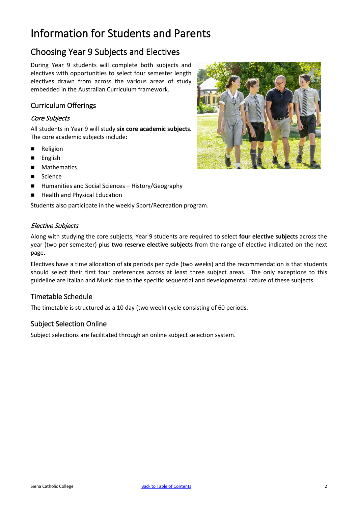### <span id="page-2-0"></span>Information for Students and Parents

### <span id="page-2-1"></span>Choosing Year 9 Subjects and Electives

During Year 9 students will complete both subjects and electives with opportunities to select four semester length electives drawn from across the various areas of study embedded in the Australian Curriculum framework.

### Curriculum Offerings

### Core Subjects

All students in Year 9 will study **six core academic subjects**. The core academic subjects include:

- **Religion**
- **English**
- Mathematics
- Science
- Humanities and Social Sciences History/Geography
- Health and Physical Education

Students also participate in the weekly Sport/Recreation program.

### Elective Subjects

Along with studying the core subjects, Year 9 students are required to select **four elective subjects** across the year (two per semester) plus **two reserve elective subjects** from the range of elective indicated on the next page.

Electives have a time allocation of **six** periods per cycle (two weeks) and the recommendation is that students should select their first four preferences across at least three subject areas. The only exceptions to this guideline are Italian and Music due to the specific sequential and developmental nature of these subjects.

### Timetable Schedule

The timetable is structured as a 10 day (two week) cycle consisting of 60 periods.

### Subject Selection Online

Subject selections are facilitated through an online subject selection system.

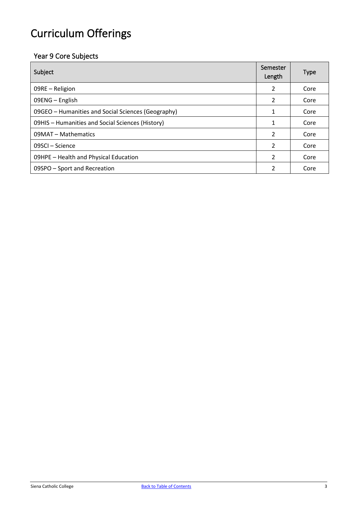## <span id="page-3-0"></span>Curriculum Offerings

### Year 9 Core Subjects

| Subject                                            |                | <b>Type</b> |
|----------------------------------------------------|----------------|-------------|
| 09RE - Religion                                    | 2              | Core        |
| 09ENG - English                                    | 2              | Core        |
| 09GEO - Humanities and Social Sciences (Geography) | 1              | Core        |
| 09HIS - Humanities and Social Sciences (History)   | 1              | Core        |
| 09MAT - Mathematics                                | $\overline{2}$ | Core        |
| 09SCI - Science                                    | $\mathcal{P}$  | Core        |
| 09HPE - Health and Physical Education              | 2              | Core        |
| 09SPO – Sport and Recreation                       | 2              | Core        |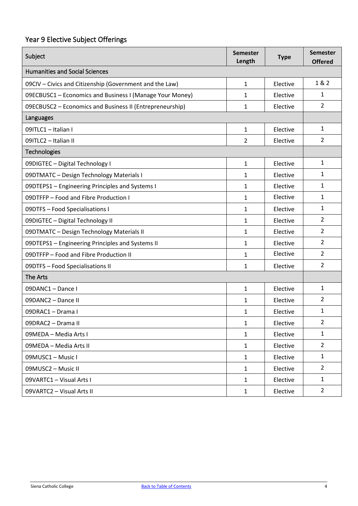### Year 9 Elective Subject Offerings

| Subject                                                         | <b>Semester</b><br>Length | <b>Type</b> | <b>Semester</b><br><b>Offered</b> |
|-----------------------------------------------------------------|---------------------------|-------------|-----------------------------------|
| <b>Humanities and Social Sciences</b>                           |                           |             |                                   |
| 09CIV - Civics and Citizenship (Government and the Law)         | $\mathbf{1}$              | Elective    | 1 & 2                             |
| 09ECBUSC1 - Economics and Business I (Manage Your Money)        | 1                         | Elective    | $\mathbf{1}$                      |
| <b>09ECBUSC2 - Economics and Business II (Entrepreneurship)</b> | 1                         | Elective    | $\overline{2}$                    |
| Languages                                                       |                           |             |                                   |
| 09ITLC1 - Italian I                                             | $\mathbf{1}$              | Elective    | $\mathbf{1}$                      |
| 09ITLC2 - Italian II                                            | 2                         | Elective    | $\overline{2}$                    |
| Technologies                                                    |                           |             |                                   |
| 09DIGTEC - Digital Technology I                                 | $\mathbf{1}$              | Elective    | $\mathbf{1}$                      |
| 09DTMATC - Design Technology Materials I                        | 1                         | Elective    | 1                                 |
| <b>09DTEPS1</b> - Engineering Principles and Systems I          | 1                         | Elective    | $\mathbf{1}$                      |
| 09DTFFP - Food and Fibre Production I                           | 1                         | Elective    | 1                                 |
| <b>09DTFS - Food Specialisations I</b>                          | 1                         | Elective    | 1                                 |
| 09DIGTEC - Digital Technology II                                | 1                         | Elective    | $\overline{2}$                    |
| 09DTMATC - Design Technology Materials II                       | 1                         | Elective    | 2                                 |
| 09DTEPS1 - Engineering Principles and Systems II                | 1                         | Elective    | $\overline{2}$                    |
| 09DTFFP - Food and Fibre Production II                          | 1                         | Elective    | $\overline{2}$                    |
| <b>09DTFS - Food Specialisations II</b>                         | 1                         | Elective    | $\overline{2}$                    |
| The Arts                                                        |                           |             |                                   |
| 09DANC1 - Dance I                                               | 1                         | Elective    | $\mathbf{1}$                      |
| 09DANC2 - Dance II                                              | 1                         | Elective    | $\overline{2}$                    |
| 09DRAC1 - Drama I                                               | 1                         | Elective    | 1                                 |
| 09DRAC2 - Drama II                                              | 1                         | Elective    | $\overline{2}$                    |
| 09MEDA - Media Arts I                                           | $\mathbf{1}$              | Elective    | $\mathbf{1}$                      |
| 09MEDA - Media Arts II                                          | $\mathbf{1}$              | Elective    | $\overline{2}$                    |
| 09MUSC1 - Music I                                               | 1                         | Elective    | $\mathbf{1}$                      |
| 09MUSC2 - Music II                                              | $\mathbf{1}$              | Elective    | $\overline{2}$                    |
| 09VARTC1 - Visual Arts I                                        | $\mathbf{1}$              | Elective    | $\mathbf{1}$                      |
| 09VARTC2 - Visual Arts II                                       | $\mathbf{1}$              | Elective    | $\mathbf{2}$                      |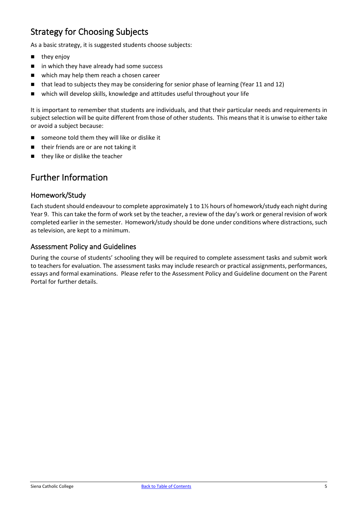### <span id="page-5-0"></span>Strategy for Choosing Subjects

As a basic strategy, it is suggested students choose subjects:

- $\blacksquare$  they enjoy
- $\blacksquare$  in which they have already had some success
- which may help them reach a chosen career
- that lead to subjects they may be considering for senior phase of learning (Year 11 and 12)
- which will develop skills, knowledge and attitudes useful throughout your life

It is important to remember that students are individuals, and that their particular needs and requirements in subject selection will be quite different from those of other students. This means that it is unwise to either take or avoid a subject because:

- someone told them they will like or dislike it
- their friends are or are not taking it
- $\blacksquare$  they like or dislike the teacher

### <span id="page-5-1"></span>Further Information

### Homework/Study

Each student should endeavour to complete approximately 1 to 1½ hours of homework/study each night during Year 9. This can take the form of work set by the teacher, a review of the day's work or general revision of work completed earlier in the semester. Homework/study should be done under conditions where distractions, such as television, are kept to a minimum.

### Assessment Policy and Guidelines

During the course of students' schooling they will be required to complete assessment tasks and submit work to teachers for evaluation. The assessment tasks may include research or practical assignments, performances, essays and formal examinations. Please refer to the Assessment Policy and Guideline document on the Parent Portal for further details.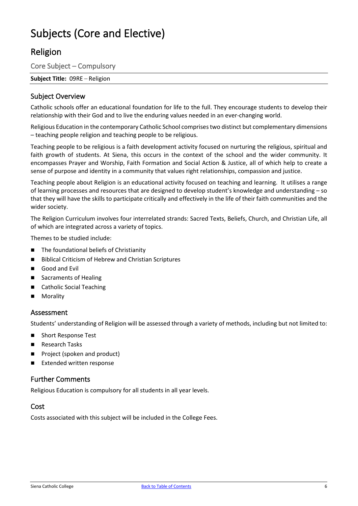### <span id="page-6-0"></span>Subjects (Core and Elective)

### <span id="page-6-1"></span>Religion

Core Subject – Compulsory

**Subject Title:** 09RE – Religion

### Subject Overview

Catholic schools offer an educational foundation for life to the full. They encourage students to develop their relationship with their God and to live the enduring values needed in an ever-changing world.

Religious Education in the contemporary Catholic School comprises two distinct but complementary dimensions – teaching people religion and teaching people to be religious.

Teaching people to be religious is a faith development activity focused on nurturing the religious, spiritual and faith growth of students. At Siena, this occurs in the context of the school and the wider community. It encompasses Prayer and Worship, Faith Formation and Social Action & Justice, all of which help to create a sense of purpose and identity in a community that values right relationships, compassion and justice.

Teaching people about Religion is an educational activity focused on teaching and learning. It utilises a range of learning processes and resources that are designed to develop student's knowledge and understanding – so that they will have the skills to participate critically and effectively in the life of their faith communities and the wider society.

The Religion Curriculum involves four interrelated strands: Sacred Texts, Beliefs, Church, and Christian Life, all of which are integrated across a variety of topics.

Themes to be studied include:

- The foundational beliefs of Christianity
- Biblical Criticism of Hebrew and Christian Scriptures
- Good and Evil
- Sacraments of Healing
- Catholic Social Teaching
- Morality

### Assessment

Students' understanding of Religion will be assessed through a variety of methods, including but not limited to:

- Short Response Test
- Research Tasks
- Project (spoken and product)
- **Extended written response**

### Further Comments

Religious Education is compulsory for all students in all year levels.

### Cost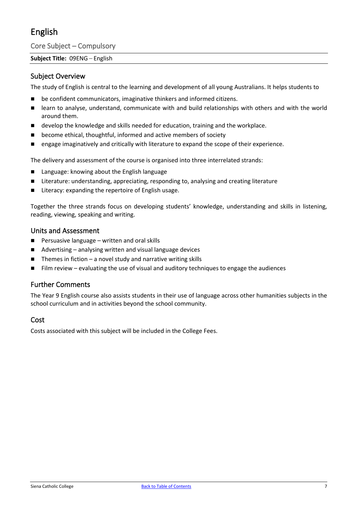### <span id="page-7-0"></span>English

Core Subject – Compulsory

### **Subject Title:** 09ENG – English

### Subject Overview

The study of English is central to the learning and development of all young Australians. It helps students to

- be confident communicators, imaginative thinkers and informed citizens.
- **E** learn to analyse, understand, communicate with and build relationships with others and with the world around them.
- **develop the knowledge and skills needed for education, training and the workplace.**
- become ethical, thoughtful, informed and active members of society
- **EXECT** engage imaginatively and critically with literature to expand the scope of their experience.

The delivery and assessment of the course is organised into three interrelated strands:

- Language: knowing about the English language
- Literature: understanding, appreciating, responding to, analysing and creating literature
- Literacy: expanding the repertoire of English usage.

Together the three strands focus on developing students' knowledge, understanding and skills in listening, reading, viewing, speaking and writing.

### Units and Assessment

- $\blacksquare$  Persuasive language written and oral skills
- Advertising analysing written and visual language devices
- $\blacksquare$  Themes in fiction a novel study and narrative writing skills
- Film review evaluating the use of visual and auditory techniques to engage the audiences

### Further Comments

The Year 9 English course also assists students in their use of language across other humanities subjects in the school curriculum and in activities beyond the school community.

### Cost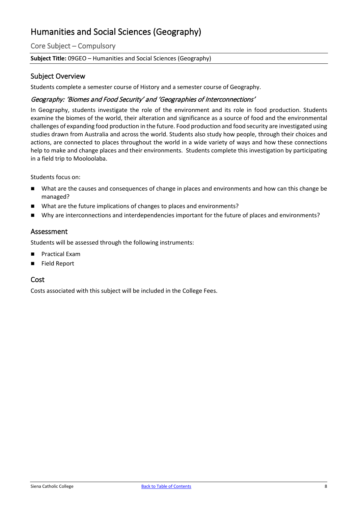### <span id="page-8-0"></span>Humanities and Social Sciences (Geography)

Core Subject – Compulsory

### **Subject Title:** 09GEO – Humanities and Social Sciences (Geography)

### Subject Overview

Students complete a semester course of History and a semester course of Geography.

### Geography: 'Biomes and Food Security' and 'Geographies of Interconnections'

In Geography, students investigate the role of the environment and its role in food production. Students examine the biomes of the world, their alteration and significance as a source of food and the environmental challenges of expanding food production in the future. Food production and food security are investigated using studies drawn from Australia and across the world. Students also study how people, through their choices and actions, are connected to places throughout the world in a wide variety of ways and how these connections help to make and change places and their environments. Students complete this investigation by participating in a field trip to Mooloolaba.

Students focus on:

- What are the causes and consequences of change in places and environments and how can this change be managed?
- What are the future implications of changes to places and environments?
- Why are interconnections and interdependencies important for the future of places and environments?

### Assessment

Students will be assessed through the following instruments:

- Practical Exam
- Field Report

### Cost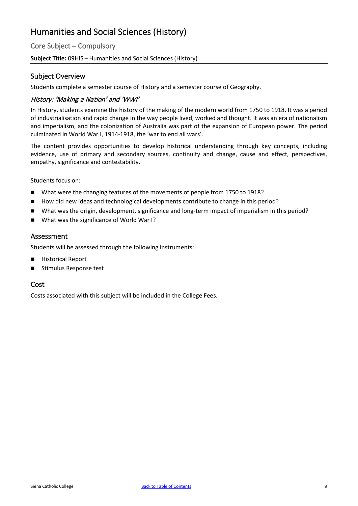### <span id="page-9-0"></span>Humanities and Social Sciences (History)

Core Subject – Compulsory

**Subject Title:** 09HIS – Humanities and Social Sciences (History)

### Subject Overview

Students complete a semester course of History and a semester course of Geography.

### History: 'Making a Nation' and 'WWI'

In History, students examine the history of the making of the modern world from 1750 to 1918. It was a period of industrialisation and rapid change in the way people lived, worked and thought. It was an era of nationalism and imperialism, and the colonization of Australia was part of the expansion of European power. The period culminated in World War I, 1914-1918, the 'war to end all wars'.

The content provides opportunities to develop historical understanding through key concepts, including evidence, use of primary and secondary sources, continuity and change, cause and effect, perspectives, empathy, significance and contestability.

Students focus on:

- What were the changing features of the movements of people from 1750 to 1918?
- How did new ideas and technological developments contribute to change in this period?
- What was the origin, development, significance and long-term impact of imperialism in this period?
- What was the significance of World War I?

### Assessment

Students will be assessed through the following instruments:

- **Historical Report**
- Stimulus Response test

### Cost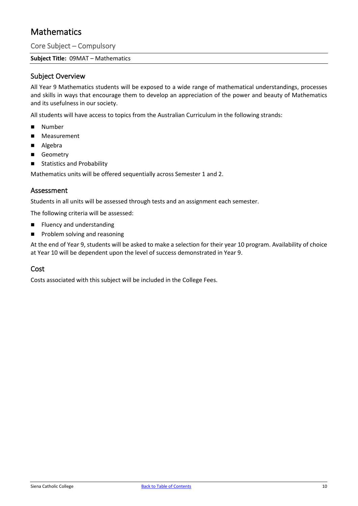### <span id="page-10-0"></span>**Mathematics**

Core Subject – Compulsory

**Subject Title:** 09MAT – Mathematics

### Subject Overview

All Year 9 Mathematics students will be exposed to a wide range of mathematical understandings, processes and skills in ways that encourage them to develop an appreciation of the power and beauty of Mathematics and its usefulness in our society.

All students will have access to topics from the Australian Curriculum in the following strands:

- **Number**
- **Measurement**
- Algebra
- Geometry
- Statistics and Probability

Mathematics units will be offered sequentially across Semester 1 and 2.

### Assessment

Students in all units will be assessed through tests and an assignment each semester.

The following criteria will be assessed:

- **Filuency and understanding**
- **Problem solving and reasoning**

At the end of Year 9, students will be asked to make a selection for their year 10 program. Availability of choice at Year 10 will be dependent upon the level of success demonstrated in Year 9.

### Cost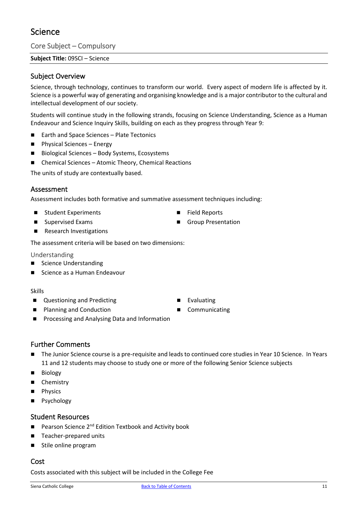### <span id="page-11-0"></span>Science

Core Subject – Compulsory

**Subject Title:** 09SCI – Science

### Subject Overview

Science, through technology, continues to transform our world. Every aspect of modern life is affected by it. Science is a powerful way of generating and organising knowledge and is a major contributor to the cultural and intellectual development of our society.

Students will continue study in the following strands, focusing on Science Understanding, Science as a Human Endeavour and Science Inquiry Skills, building on each as they progress through Year 9:

- Earth and Space Sciences Plate Tectonics
- **Physical Sciences Energy**
- Biological Sciences Body Systems, Ecosystems
- Chemical Sciences Atomic Theory, Chemical Reactions

The units of study are contextually based.

### Assessment

Assessment includes both formative and summative assessment techniques including:

- Student Experiments
- Supervised Exams
- Research Investigations

The assessment criteria will be based on two dimensions:

Understanding

- Science Understanding
- Science as a Human Endeavour

#### Skills

- Questioning and Predicting
- Planning and Conduction
- Processing and Analysing Data and Information
- Further Comments
- The Junior Science course is a pre-requisite and leads to continued core studies in Year 10 Science. In Years 11 and 12 students may choose to study one or more of the following Senior Science subjects
- **Biology**
- Chemistry
- Physics
- **Psychology**

### Student Resources

- Pearson Science 2<sup>nd</sup> Edition Textbook and Activity book
- Teacher-prepared units
- Stile online program

### Cost

Costs associated with this subject will be included in the College Fee

- **Evaluating**
- Communicating

■ Field Reports

Group Presentation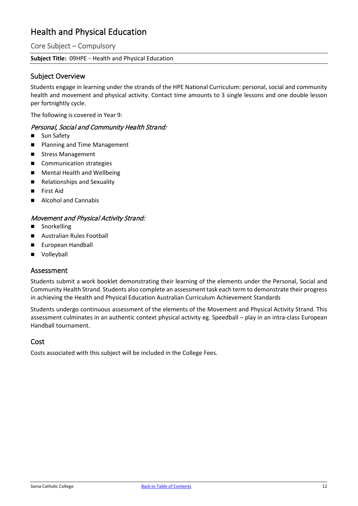### <span id="page-12-0"></span>Health and Physical Education

Core Subject – Compulsory

### **Subject Title:** 09HPE – Health and Physical Education

### Subject Overview

Students engage in learning under the strands of the HPE National Curriculum: personal, social and community health and movement and physical activity. Contact time amounts to 3 single lessons and one double lesson per fortnightly cycle.

The following is covered in Year 9:

### Personal, Social and Community Health Strand:

- Sun Safety
- Planning and Time Management
- Stress Management
- Communication strategies
- **Mental Health and Wellbeing**
- Relationships and Sexuality
- First Aid
- Alcohol and Cannabis

### Movement and Physical Activity Strand:

- **B** Snorkelling
- Australian Rules Football
- **European Handball**
- Volleyball

### Assessment

Students submit a work booklet demonstrating their learning of the elements under the Personal, Social and Community Health Strand. Students also complete an assessment task each term to demonstrate their progress in achieving the Health and Physical Education Australian Curriculum Achievement Standards

Students undergo continuous assessment of the elements of the Movement and Physical Activity Strand. This assessment culminates in an authentic context physical activity eg. Speedball – play in an intra-class European Handball tournament.

### Cost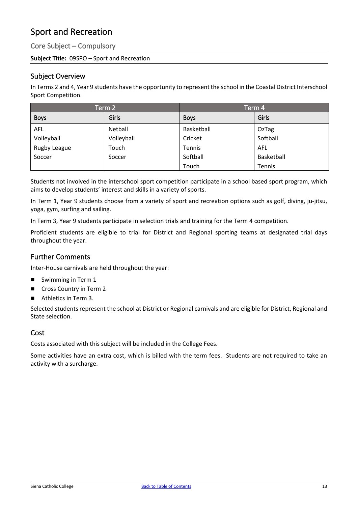### <span id="page-13-0"></span>Sport and Recreation

Core Subject – Compulsory

### **Subject Title:** 09SPO – Sport and Recreation

### Subject Overview

In Terms 2 and 4, Year 9 students have the opportunity to represent the school in the Coastal District Interschool Sport Competition.

| Term 2       |            | Term 4      |            |
|--------------|------------|-------------|------------|
| <b>Boys</b>  | Girls      | <b>Boys</b> | Girls      |
| <b>AFL</b>   | Netball    | Basketball  | OzTag      |
| Volleyball   | Volleyball | Cricket     | Softball   |
| Rugby League | Touch      | Tennis      | AFL        |
| Soccer       | Soccer     | Softball    | Basketball |
|              |            | Touch       | Tennis     |

Students not involved in the interschool sport competition participate in a school based sport program, which aims to develop students' interest and skills in a variety of sports.

In Term 1, Year 9 students choose from a variety of sport and recreation options such as golf, diving, ju-jitsu, yoga, gym, surfing and sailing.

In Term 3, Year 9 students participate in selection trials and training for the Term 4 competition.

Proficient students are eligible to trial for District and Regional sporting teams at designated trial days throughout the year.

### Further Comments

Inter-House carnivals are held throughout the year:

- Swimming in Term 1
- Cross Country in Term 2
- Athletics in Term 3.

Selected students represent the school at District or Regional carnivals and are eligible for District, Regional and State selection.

### Cost

Costs associated with this subject will be included in the College Fees.

Some activities have an extra cost, which is billed with the term fees. Students are not required to take an activity with a surcharge.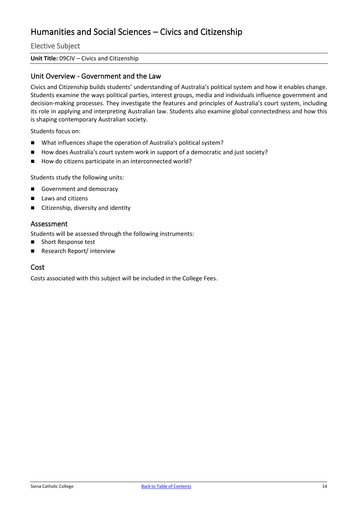### <span id="page-14-0"></span>Humanities and Social Sciences – Civics and Citizenship

Elective Subject

#### **Unit Title:** 09CIV – Civics and Citizenship

### Unit Overview - Government and the Law

Civics and Citizenship builds students' understanding of Australia's political system and how it enables change. Students examine the ways political parties, interest groups, media and individuals influence government and decision-making processes. They investigate the features and principles of Australia's court system, including its role in applying and interpreting Australian law. Students also examine global connectedness and how this is shaping contemporary Australian society.

Students focus on:

- What influences shape the operation of Australia's political system?
- How does Australia's court system work in support of a democratic and just society?
- How do citizens participate in an interconnected world?

Students study the following units:

- Government and democracy
- Laws and citizens
- Citizenship, diversity and identity

#### Assessment

Students will be assessed through the following instruments:

- Short Response test
- Research Report/ interview

### Cost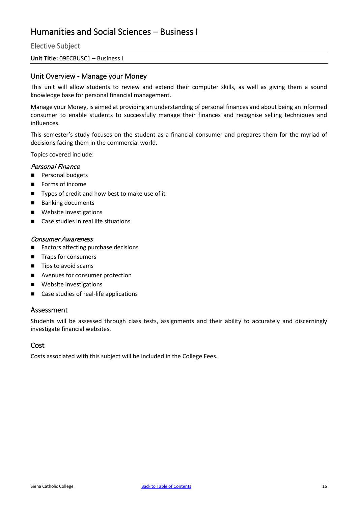### <span id="page-15-0"></span>Humanities and Social Sciences – Business I

Elective Subject

#### **Unit Title:** 09ECBUSC1 – Business I

### Unit Overview - Manage your Money

This unit will allow students to review and extend their computer skills, as well as giving them a sound knowledge base for personal financial management.

Manage your Money, is aimed at providing an understanding of personal finances and about being an informed consumer to enable students to successfully manage their finances and recognise selling techniques and influences.

This semester's study focuses on the student as a financial consumer and prepares them for the myriad of decisions facing them in the commercial world.

Topics covered include:

### Personal Finance

- **Personal budgets**
- **Forms of income**
- Types of credit and how best to make use of it
- Banking documents
- Website investigations
- Case studies in real life situations

#### Consumer Awareness

- Factors affecting purchase decisions
- Traps for consumers
- Tips to avoid scams
- **Avenues for consumer protection**
- Website investigations
- Case studies of real-life applications

### Assessment

Students will be assessed through class tests, assignments and their ability to accurately and discerningly investigate financial websites.

### Cost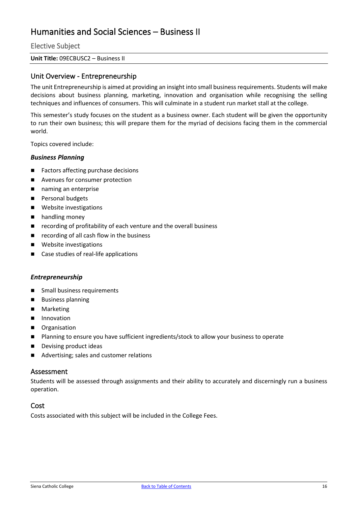### <span id="page-16-0"></span>Humanities and Social Sciences – Business II

Elective Subject

#### **Unit Title:** 09ECBUSC2 – Business II

### Unit Overview - Entrepreneurship

The unit Entrepreneurship is aimed at providing an insight into small business requirements. Students will make decisions about business planning, marketing, innovation and organisation while recognising the selling techniques and influences of consumers. This will culminate in a student run market stall at the college.

This semester's study focuses on the student as a business owner. Each student will be given the opportunity to run their own business; this will prepare them for the myriad of decisions facing them in the commercial world.

Topics covered include:

#### *Business Planning*

- Factors affecting purchase decisions
- Avenues for consumer protection
- naming an enterprise
- **Personal budgets**
- **Nebsite investigations**
- **n** handling money
- recording of profitability of each venture and the overall business
- $\blacksquare$  recording of all cash flow in the business
- **Nebsite investigations**
- Case studies of real-life applications

#### *Entrepreneurship*

- **Small business requirements**
- **Business planning**
- **Marketing**
- **Innovation**
- **Depanisation**
- **Planning to ensure you have sufficient ingredients/stock to allow your business to operate**
- **Devising product ideas**
- Advertising; sales and customer relations

#### Assessment

Students will be assessed through assignments and their ability to accurately and discerningly run a business operation.

### Cost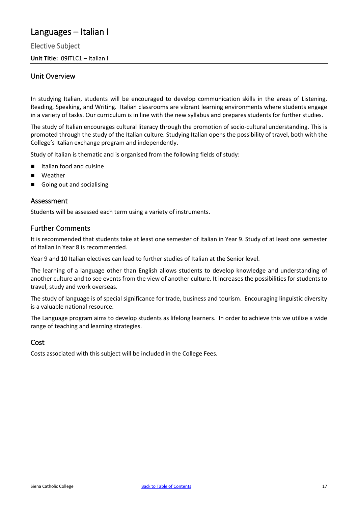### <span id="page-17-0"></span>Languages – Italian I

Elective Subject

**Unit Title:** 09ITLC1 – Italian I

### Unit Overview

In studying Italian, students will be encouraged to develop communication skills in the areas of Listening, Reading, Speaking, and Writing. Italian classrooms are vibrant learning environments where students engage in a variety of tasks. Our curriculum is in line with the new syllabus and prepares students for further studies.

The study of Italian encourages cultural literacy through the promotion of socio-cultural understanding. This is promoted through the study of the Italian culture. Studying Italian opens the possibility of travel, both with the College's Italian exchange program and independently.

Study of Italian is thematic and is organised from the following fields of study:

- Italian food and cuisine
- Weather
- Going out and socialising

#### Assessment

Students will be assessed each term using a variety of instruments.

### Further Comments

It is recommended that students take at least one semester of Italian in Year 9. Study of at least one semester of Italian in Year 8 is recommended.

Year 9 and 10 Italian electives can lead to further studies of Italian at the Senior level.

The learning of a language other than English allows students to develop knowledge and understanding of another culture and to see events from the view of another culture. It increases the possibilities for students to travel, study and work overseas.

The study of language is of special significance for trade, business and tourism. Encouraging linguistic diversity is a valuable national resource.

The Language program aims to develop students as lifelong learners. In order to achieve this we utilize a wide range of teaching and learning strategies.

### Cost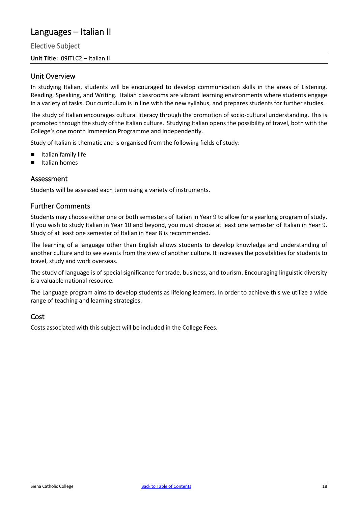### <span id="page-18-0"></span>Languages – Italian II

Elective Subject

**Unit Title:** 09ITLC2 – Italian II

### Unit Overview

In studying Italian, students will be encouraged to develop communication skills in the areas of Listening, Reading, Speaking, and Writing. Italian classrooms are vibrant learning environments where students engage in a variety of tasks. Our curriculum is in line with the new syllabus, and prepares students for further studies.

The study of Italian encourages cultural literacy through the promotion of socio-cultural understanding. This is promoted through the study of the Italian culture. Studying Italian opens the possibility of travel, both with the College's one month Immersion Programme and independently.

Study of Italian is thematic and is organised from the following fields of study:

- Italian family life
- Italian homes

### Assessment

Students will be assessed each term using a variety of instruments.

### Further Comments

Students may choose either one or both semesters of Italian in Year 9 to allow for a yearlong program of study. If you wish to study Italian in Year 10 and beyond, you must choose at least one semester of Italian in Year 9. Study of at least one semester of Italian in Year 8 is recommended.

The learning of a language other than English allows students to develop knowledge and understanding of another culture and to see events from the view of another culture. It increases the possibilities for students to travel, study and work overseas.

The study of language is of special significance for trade, business, and tourism. Encouraging linguistic diversity is a valuable national resource.

The Language program aims to develop students as lifelong learners. In order to achieve this we utilize a wide range of teaching and learning strategies.

### Cost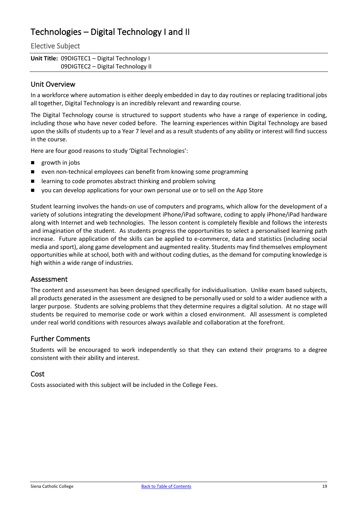### <span id="page-19-0"></span>Technologies – Digital Technology I and II

### Elective Subject

| <b>Unit Title: 09DIGTEC1 – Digital Technology I</b> |  |
|-----------------------------------------------------|--|
| 09DIGTEC2 - Digital Technology II                   |  |

### Unit Overview

In a workforce where automation is either deeply embedded in day to day routines or replacing traditional jobs all together, Digital Technology is an incredibly relevant and rewarding course.

The Digital Technology course is structured to support students who have a range of experience in coding, including those who have never coded before. The learning experiences within Digital Technology are based upon the skills of students up to a Year 7 level and as a result students of any ability or interest will find success in the course.

Here are four good reasons to study 'Digital Technologies':

- **growth in jobs**
- even non-technical employees can benefit from knowing some programming
- **E** learning to code promotes abstract thinking and problem solving
- you can develop applications for your own personal use or to sell on the App Store

Student learning involves the hands-on use of computers and programs, which allow for the development of a variety of solutions integrating the development iPhone/iPad software, coding to apply iPhone/iPad hardware along with Internet and web technologies. The lesson content is completely flexible and follows the interests and imagination of the student. As students progress the opportunities to select a personalised learning path increase. Future application of the skills can be applied to e-commerce, data and statistics (including social media and sport), along game development and augmented reality. Students may find themselves employment opportunities while at school, both with and without coding duties, as the demand for computing knowledge is high within a wide range of industries.

### Assessment

The content and assessment has been designed specifically for individualisation. Unlike exam based subjects, all products generated in the assessment are designed to be personally used or sold to a wider audience with a larger purpose. Students are solving problems that they determine requires a digital solution. At no stage will students be required to memorise code or work within a closed environment. All assessment is completed under real world conditions with resources always available and collaboration at the forefront.

### Further Comments

Students will be encouraged to work independently so that they can extend their programs to a degree consistent with their ability and interest.

### Cost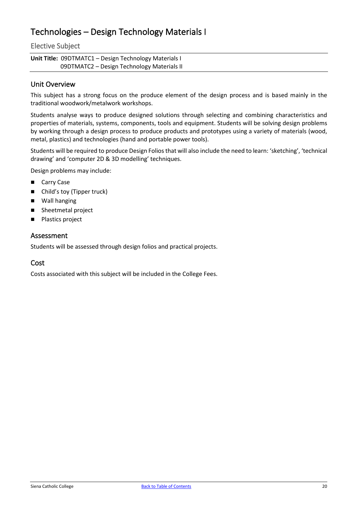### <span id="page-20-0"></span>Technologies – Design Technology Materials I

### Elective Subject

| Unit Title: 09DTMATC1 - Design Technology Materials I |
|-------------------------------------------------------|
| 09DTMATC2 - Design Technology Materials II            |

### Unit Overview

This subject has a strong focus on the produce element of the design process and is based mainly in the traditional woodwork/metalwork workshops.

Students analyse ways to produce designed solutions through selecting and combining characteristics and properties of materials, systems, components, tools and equipment. Students will be solving design problems by working through a design process to produce products and prototypes using a variety of materials (wood, metal, plastics) and technologies (hand and portable power tools).

Students will be required to produce Design Folios that will also include the need to learn: 'sketching', 'technical drawing' and 'computer 2D & 3D modelling' techniques.

Design problems may include:

- Carry Case
- Child's toy (Tipper truck)
- **Nall hanging**
- Sheetmetal project
- Plastics project

### Assessment

Students will be assessed through design folios and practical projects.

### Cost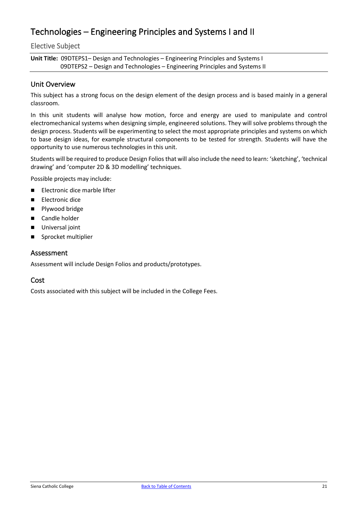### <span id="page-21-0"></span>Technologies – Engineering Principles and Systems I and II

### Elective Subject

**Unit Title:** 09DTEPS1– Design and Technologies – Engineering Principles and Systems I 09DTEPS2 – Design and Technologies – Engineering Principles and Systems II

### Unit Overview

This subject has a strong focus on the design element of the design process and is based mainly in a general classroom.

In this unit students will analyse how motion, force and energy are used to manipulate and control electromechanical systems when designing simple, engineered solutions. They will solve problems through the design process. Students will be experimenting to select the most appropriate principles and systems on which to base design ideas, for example structural components to be tested for strength. Students will have the opportunity to use numerous technologies in this unit.

Students will be required to produce Design Folios that will also include the need to learn: 'sketching', 'technical drawing' and 'computer 2D & 3D modelling' techniques.

Possible projects may include:

- Electronic dice marble lifter
- **Electronic dice**
- **Plywood bridge**
- Candle holder
- Universal joint
- Sprocket multiplier

#### Assessment

Assessment will include Design Folios and products/prototypes.

### Cost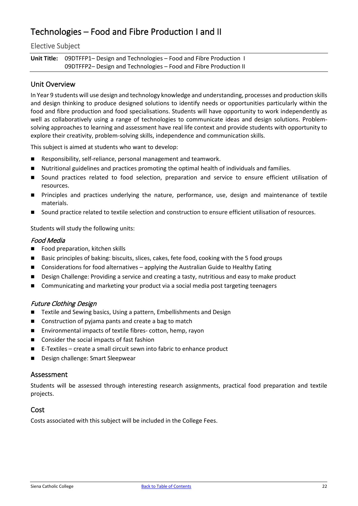### <span id="page-22-0"></span>Technologies – Food and Fibre Production I and II

### Elective Subject

**Unit Title:** 09DTFFP1– Design and Technologies – Food and Fibre Production I 09DTFFP2– Design and Technologies – Food and Fibre Production II

### Unit Overview

In Year 9 students will use design and technology knowledge and understanding, processes and production skills and design thinking to produce designed solutions to identify needs or opportunities particularly within the food and fibre production and food specialisations. Students will have opportunity to work independently as well as collaboratively using a range of technologies to communicate ideas and design solutions. Problemsolving approaches to learning and assessment have real life context and provide students with opportunity to explore their creativity, problem-solving skills, independence and communication skills.

This subject is aimed at students who want to develop:

- Responsibility, self-reliance, personal management and teamwork.
- Nutritional guidelines and practices promoting the optimal health of individuals and families.
- Sound practices related to food selection, preparation and service to ensure efficient utilisation of resources.
- Principles and practices underlying the nature, performance, use, design and maintenance of textile materials.
- Sound practice related to textile selection and construction to ensure efficient utilisation of resources.

Students will study the following units:

#### Food Media

- Food preparation, kitchen skills
- Basic principles of baking: biscuits, slices, cakes, fete food, cooking with the 5 food groups
- Considerations for food alternatives applying the Australian Guide to Healthy Eating
- **Design Challenge: Providing a service and creating a tasty, nutritious and easy to make product**
- Communicating and marketing your product via a social media post targeting teenagers

#### Future Clothing Design

- Textile and Sewing basics, Using a pattern, Embellishments and Design
- Construction of pyjama pants and create a bag to match
- Environmental impacts of textile fibres- cotton, hemp, rayon
- Consider the social impacts of fast fashion
- E-Textiles create a small circuit sewn into fabric to enhance product
- **Design challenge: Smart Sleepwear**

#### Assessment

Students will be assessed through interesting research assignments, practical food preparation and textile projects.

### Cost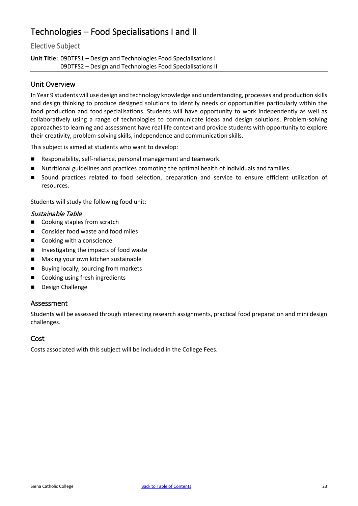### <span id="page-23-0"></span>Technologies – Food Specialisations I and II

### Elective Subject

**Unit Title:** 09DTFS1 – Design and Technologies Food Specialisations I 09DTFS2 – Design and Technologies Food Specialisations II

### Unit Overview

In Year 9 students will use design and technology knowledge and understanding, processes and production skills and design thinking to produce designed solutions to identify needs or opportunities particularly within the food production and food specialisations. Students will have opportunity to work independently as well as collaboratively using a range of technologies to communicate ideas and design solutions. Problem-solving approaches to learning and assessment have real life context and provide students with opportunity to explore their creativity, problem-solving skills, independence and communication skills.

This subject is aimed at students who want to develop:

- Responsibility, self-reliance, personal management and teamwork.
- Nutritional guidelines and practices promoting the optimal health of individuals and families.
- Sound practices related to food selection, preparation and service to ensure efficient utilisation of resources.

Students will study the following food unit:

#### Sustainable Table

- Cooking staples from scratch
- Consider food waste and food miles
- Cooking with a conscience
- **I** Investigating the impacts of food waste
- **Making your own kitchen sustainable**
- Buying locally, sourcing from markets
- Cooking using fresh ingredients
- Design Challenge

#### Assessment

Students will be assessed through interesting research assignments, practical food preparation and mini design challenges.

### Cost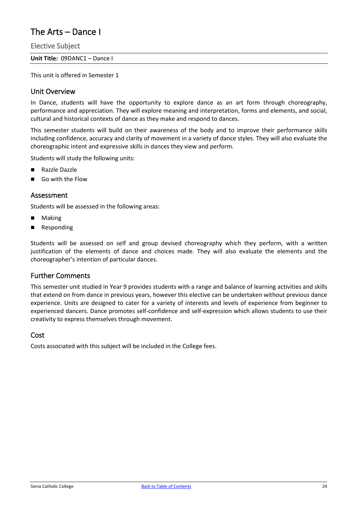### <span id="page-24-0"></span>The Arts – Dance I

Elective Subject

**Unit Title:** 09DANC1 – Dance I

This unit is offered in Semester 1

### Unit Overview

In Dance, students will have the opportunity to explore dance as an art form through choreography, performance and appreciation. They will explore meaning and interpretation, forms and elements, and social, cultural and historical contexts of dance as they make and respond to dances.

This semester students will build on their awareness of the body and to improve their performance skills including confidence, accuracy and clarity of movement in a variety of dance styles. They will also evaluate the choreographic intent and expressive skills in dances they view and perform.

Students will study the following units:

- Razzle Dazzle
- Go with the Flow

### Assessment

Students will be assessed in the following areas:

- Making
- **Responding**

Students will be assessed on self and group devised choreography which they perform, with a written justification of the elements of dance and choices made. They will also evaluate the elements and the choreographer's intention of particular dances.

### Further Comments

This semester unit studied in Year 9 provides students with a range and balance of learning activities and skills that extend on from dance in previous years, however this elective can be undertaken without previous dance experience. Units are designed to cater for a variety of interests and levels of experience from beginner to experienced dancers. Dance promotes self-confidence and self-expression which allows students to use their creativity to express themselves through movement.

#### Cost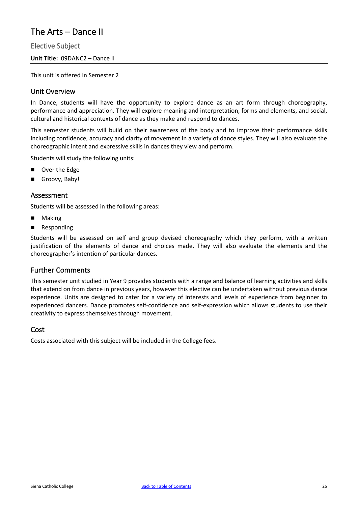### <span id="page-25-0"></span>The Arts – Dance II

Elective Subject

**Unit Title:** 09DANC2 – Dance II

This unit is offered in Semester 2

### Unit Overview

In Dance, students will have the opportunity to explore dance as an art form through choreography, performance and appreciation. They will explore meaning and interpretation, forms and elements, and social, cultural and historical contexts of dance as they make and respond to dances.

This semester students will build on their awareness of the body and to improve their performance skills including confidence, accuracy and clarity of movement in a variety of dance styles. They will also evaluate the choreographic intent and expressive skills in dances they view and perform.

Students will study the following units:

- Over the Edge
- Groovy, Baby!

### Assessment

Students will be assessed in the following areas:

- Making
- **Responding**

Students will be assessed on self and group devised choreography which they perform, with a written justification of the elements of dance and choices made. They will also evaluate the elements and the choreographer's intention of particular dances.

### Further Comments

This semester unit studied in Year 9 provides students with a range and balance of learning activities and skills that extend on from dance in previous years, however this elective can be undertaken without previous dance experience. Units are designed to cater for a variety of interests and levels of experience from beginner to experienced dancers. Dance promotes self-confidence and self-expression which allows students to use their creativity to express themselves through movement.

#### Cost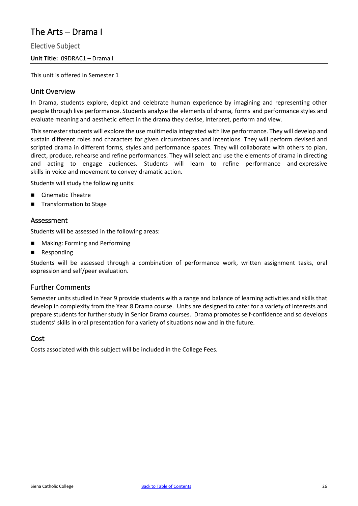### <span id="page-26-0"></span>The Arts – Drama I

Elective Subject

**Unit Title:** 09DRAC1 – Drama I

This unit is offered in Semester 1

### Unit Overview

In Drama, students explore, depict and celebrate human experience by imagining and representing other people through live performance. Students analyse the elements of drama, forms and performance styles and evaluate meaning and aesthetic effect in the drama they devise, interpret, perform and view.

This semester students will explore the use multimedia integrated with live performance. They will develop and sustain different roles and characters for given circumstances and intentions. They will perform devised and scripted drama in different forms, styles and performance spaces. They will collaborate with others to plan, direct, produce, rehearse and refine performances. They will select and use the elements of drama in directing and acting to engage audiences. Students will learn to refine performance and expressive skills in voice and movement to convey dramatic action.

Students will study the following units:

- Cinematic Theatre
- Transformation to Stage

### Assessment

Students will be assessed in the following areas:

- **Making: Forming and Performing**
- **Responding**

Students will be assessed through a combination of performance work, written assignment tasks, oral expression and self/peer evaluation.

### Further Comments

Semester units studied in Year 9 provide students with a range and balance of learning activities and skills that develop in complexity from the Year 8 Drama course. Units are designed to cater for a variety of interests and prepare students for further study in Senior Drama courses. Drama promotes self-confidence and so develops students' skills in oral presentation for a variety of situations now and in the future.

### Cost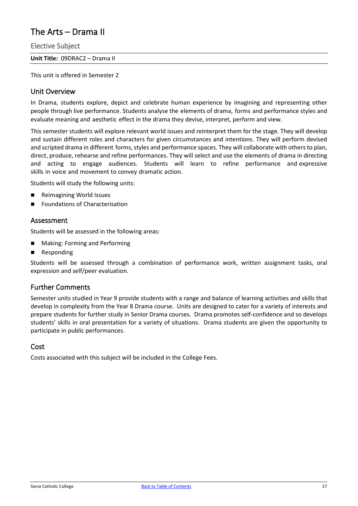### <span id="page-27-0"></span>The Arts – Drama II

Elective Subject

**Unit Title:** 09DRAC2 – Drama II

This unit is offered in Semester 2

### Unit Overview

In Drama, students explore, depict and celebrate human experience by imagining and representing other people through live performance. Students analyse the elements of drama, forms and performance styles and evaluate meaning and aesthetic effect in the drama they devise, interpret, perform and view.

This semester students will explore relevant world issues and reinterpret them for the stage. They will develop and sustain different roles and characters for given circumstances and intentions. They will perform devised and scripted drama in different forms, styles and performance spaces. They will collaborate with others to plan, direct, produce, rehearse and refine performances. They will select and use the elements of drama in directing and acting to engage audiences. Students will learn to refine performance and expressive skills in voice and movement to convey dramatic action.

Students will study the following units:

- Reimagining World Issues
- Foundations of Characterisation

### Assessment

Students will be assessed in the following areas:

- **Making: Forming and Performing**
- **Responding**

Students will be assessed through a combination of performance work, written assignment tasks, oral expression and self/peer evaluation.

### Further Comments

Semester units studied in Year 9 provide students with a range and balance of learning activities and skills that develop in complexity from the Year 8 Drama course. Units are designed to cater for a variety of interests and prepare students for further study in Senior Drama courses. Drama promotes self-confidence and so develops students' skills in oral presentation for a variety of situations. Drama students are given the opportunity to participate in public performances.

### Cost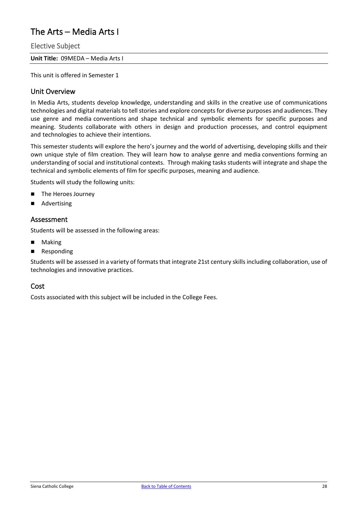### <span id="page-28-0"></span>The Arts – Media Arts I

Elective Subject

**Unit Title:** 09MEDA – Media Arts I

This unit is offered in Semester 1

### Unit Overview

In Media Arts, students develop knowledge, understanding and skills in the creative use of communications technologies and digital materials to tell stories and explore concepts for diverse purposes and audiences. They use genre and media conventions and shape technical and symbolic elements for specific purposes and meaning. Students collaborate with others in design and production processes, and control equipment and technologies to achieve their intentions.

This semester students will explore the hero's journey and the world of advertising, developing skills and their own unique style of film creation. They will learn how to analyse genre and media conventions forming an understanding of social and institutional contexts. Through making tasks students will integrate and shape the technical and symbolic elements of film for specific purposes, meaning and audience.

Students will study the following units:

- The Heroes Journey
- Advertising

#### Assessment

Students will be assessed in the following areas:

- Making
- **Responding**

Students will be assessed in a variety of formats that integrate 21st century skills including collaboration, use of technologies and innovative practices.

#### Cost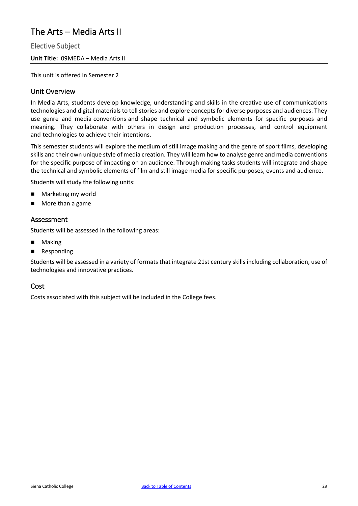### <span id="page-29-0"></span>The Arts – Media Arts II

Elective Subject

**Unit Title:** 09MEDA – Media Arts II

This unit is offered in Semester 2

### Unit Overview

In Media Arts, students develop knowledge, understanding and skills in the creative use of communications technologies and digital materials to tell stories and explore concepts for diverse purposes and audiences. They use genre and media conventions and shape technical and symbolic elements for specific purposes and meaning. They collaborate with others in design and production processes, and control equipment and technologies to achieve their intentions.

This semester students will explore the medium of still image making and the genre of sport films, developing skills and their own unique style of media creation. They will learn how to analyse genre and media conventions for the specific purpose of impacting on an audience. Through making tasks students will integrate and shape the technical and symbolic elements of film and still image media for specific purposes, events and audience.

Students will study the following units:

- Marketing my world
- More than a game

### Assessment

Students will be assessed in the following areas:

- Making
- **Responding**

Students will be assessed in a variety of formats that integrate 21st century skills including collaboration, use of technologies and innovative practices.

#### Cost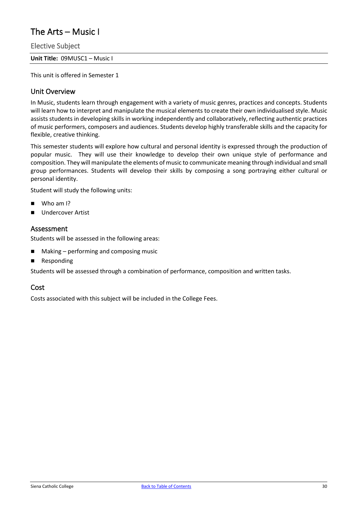### <span id="page-30-0"></span>The Arts – Music I

Elective Subject

**Unit Title:** 09MUSC1 – Music I

This unit is offered in Semester 1

### Unit Overview

In Music, students learn through engagement with a variety of music genres, practices and concepts. Students will learn how to interpret and manipulate the musical elements to create their own individualised style. Music assists students in developing skills in working independently and collaboratively, reflecting authentic practices of music performers, composers and audiences. Students develop highly transferable skills and the capacity for flexible, creative thinking.

This semester students will explore how cultural and personal identity is expressed through the production of popular music. They will use their knowledge to develop their own unique style of performance and composition. They will manipulate the elements of music to communicate meaning through individual and small group performances. Students will develop their skills by composing a song portraying either cultural or personal identity.

Student will study the following units:

- Who am I?
- **Undercover Artist**

### Assessment

Students will be assessed in the following areas:

- Making performing and composing music
- **Responding**

Students will be assessed through a combination of performance, composition and written tasks.

### Cost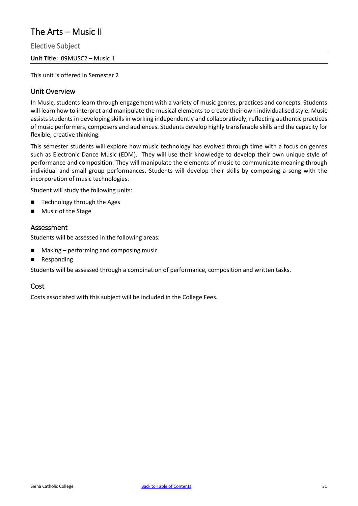### <span id="page-31-0"></span>The Arts – Music II

Elective Subject

**Unit Title:** 09MUSC2 – Music II

This unit is offered in Semester 2

### Unit Overview

In Music, students learn through engagement with a variety of music genres, practices and concepts. Students will learn how to interpret and manipulate the musical elements to create their own individualised style. Music assists students in developing skills in working independently and collaboratively, reflecting authentic practices of music performers, composers and audiences. Students develop highly transferable skills and the capacity for flexible, creative thinking.

This semester students will explore how music technology has evolved through time with a focus on genres such as Electronic Dance Music (EDM). They will use their knowledge to develop their own unique style of performance and composition. They will manipulate the elements of music to communicate meaning through individual and small group performances. Students will develop their skills by composing a song with the incorporation of music technologies.

Student will study the following units:

- Technology through the Ages
- **Music of the Stage**

### Assessment

Students will be assessed in the following areas:

- Making performing and composing music
- **Responding**

Students will be assessed through a combination of performance, composition and written tasks.

#### Cost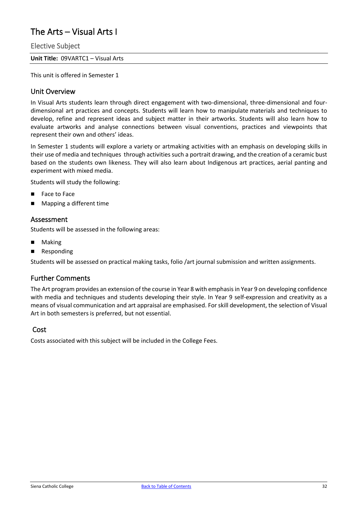### <span id="page-32-0"></span>The Arts – Visual Arts I

Elective Subject

**Unit Title:** 09VARTC1 – Visual Arts

This unit is offered in Semester 1

### Unit Overview

In Visual Arts students learn through direct engagement with two-dimensional, three-dimensional and fourdimensional art practices and concepts. Students will learn how to manipulate materials and techniques to develop, refine and represent ideas and subject matter in their artworks. Students will also learn how to evaluate artworks and analyse connections between visual conventions, practices and viewpoints that represent their own and others' ideas.

In Semester 1 students will explore a variety or artmaking activities with an emphasis on developing skills in their use of media and techniques through activities such a portrait drawing, and the creation of a ceramic bust based on the students own likeness. They will also learn about Indigenous art practices, aerial panting and experiment with mixed media.

Students will study the following:

- Face to Face
- Mapping a different time

### Assessment

Students will be assessed in the following areas:

- Making
- **Responding**

Students will be assessed on practical making tasks, folio /art journal submission and written assignments.

### Further Comments

The Art program provides an extension of the course in Year 8 with emphasis in Year 9 on developing confidence with media and techniques and students developing their style. In Year 9 self-expression and creativity as a means of visual communication and art appraisal are emphasised. For skill development, the selection of Visual Art in both semesters is preferred, but not essential.

### Cost